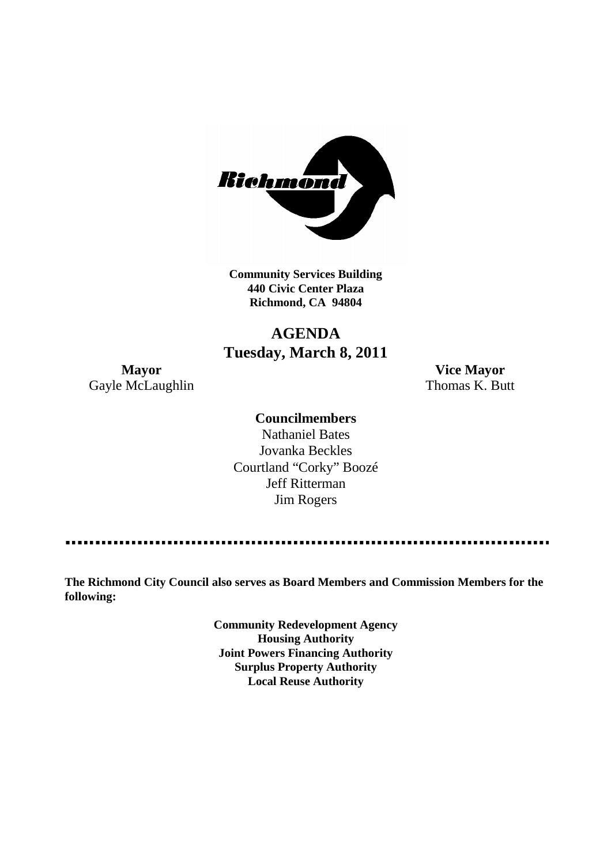

**Community Services Building 440 Civic Center Plaza Richmond, CA 94804**

## **AGENDA Tuesday, March 8, 2011**

**Mayor Vice Mayor** Gayle McLaughlin Thomas K. Butt

## **Councilmembers**

Nathaniel Bates Jovanka Beckles Courtland "Corky" Boozé Jeff Ritterman Jim Rogers

**The Richmond City Council also serves as Board Members and Commission Members for the following:**

> **Community Redevelopment Agency Housing Authority Joint Powers Financing Authority Surplus Property Authority Local Reuse Authority**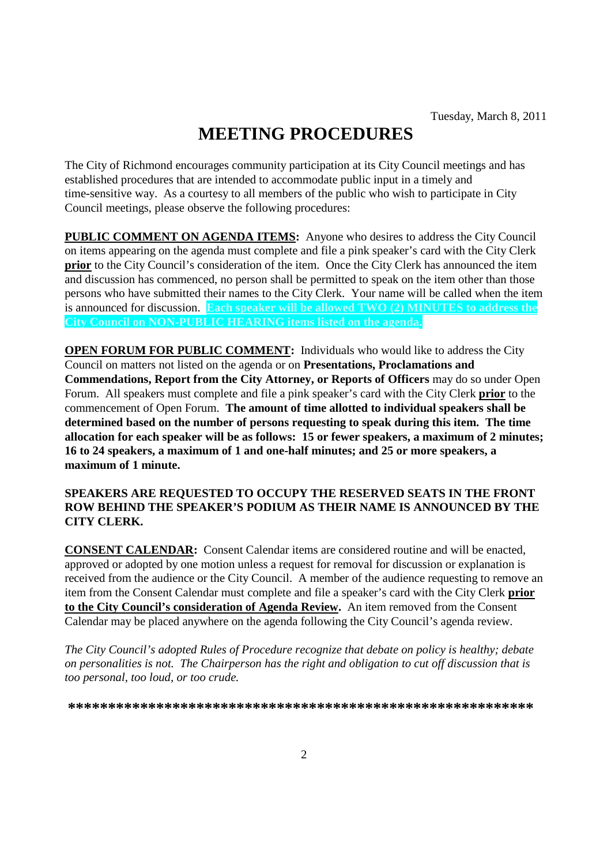# **MEETING PROCEDURES**

The City of Richmond encourages community participation at its City Council meetings and has established procedures that are intended to accommodate public input in a timely and time-sensitive way. As a courtesy to all members of the public who wish to participate in City Council meetings, please observe the following procedures:

**PUBLIC COMMENT ON AGENDA ITEMS:** Anyone who desires to address the City Council on items appearing on the agenda must complete and file a pink speaker's card with the City Clerk **prior** to the City Council's consideration of the item. Once the City Clerk has announced the item and discussion has commenced, no person shall be permitted to speak on the item other than those persons who have submitted their names to the City Clerk. Your name will be called when the item is announced for discussion. **Each speaker will be allowed TWO (2) MINUTES to address the City Council on NON-PUBLIC HEARING items listed on the agenda.**

**OPEN FORUM FOR PUBLIC COMMENT:** Individuals who would like to address the City Council on matters not listed on the agenda or on **Presentations, Proclamations and Commendations, Report from the City Attorney, or Reports of Officers** may do so under Open Forum. All speakers must complete and file a pink speaker's card with the City Clerk **prior** to the commencement of Open Forum. **The amount of time allotted to individual speakers shall be determined based on the number of persons requesting to speak during this item. The time allocation for each speaker will be as follows: 15 or fewer speakers, a maximum of 2 minutes; 16 to 24 speakers, a maximum of 1 and one-half minutes; and 25 or more speakers, a maximum of 1 minute.**

### **SPEAKERS ARE REQUESTED TO OCCUPY THE RESERVED SEATS IN THE FRONT ROW BEHIND THE SPEAKER'S PODIUM AS THEIR NAME IS ANNOUNCED BY THE CITY CLERK.**

**CONSENT CALENDAR:** Consent Calendar items are considered routine and will be enacted, approved or adopted by one motion unless a request for removal for discussion or explanation is received from the audience or the City Council. A member of the audience requesting to remove an item from the Consent Calendar must complete and file a speaker's card with the City Clerk **prior to the City Council's consideration of Agenda Review.** An item removed from the Consent Calendar may be placed anywhere on the agenda following the City Council's agenda review.

*The City Council's adopted Rules of Procedure recognize that debate on policy is healthy; debate on personalities is not. The Chairperson has the right and obligation to cut off discussion that is too personal, too loud, or too crude.*

**\*\*\*\*\*\*\*\*\*\*\*\*\*\*\*\*\*\*\*\*\*\*\*\*\*\*\*\*\*\*\*\*\*\*\*\*\*\*\*\*\*\*\*\*\*\*\*\*\*\*\*\*\*\*\*\*\*\***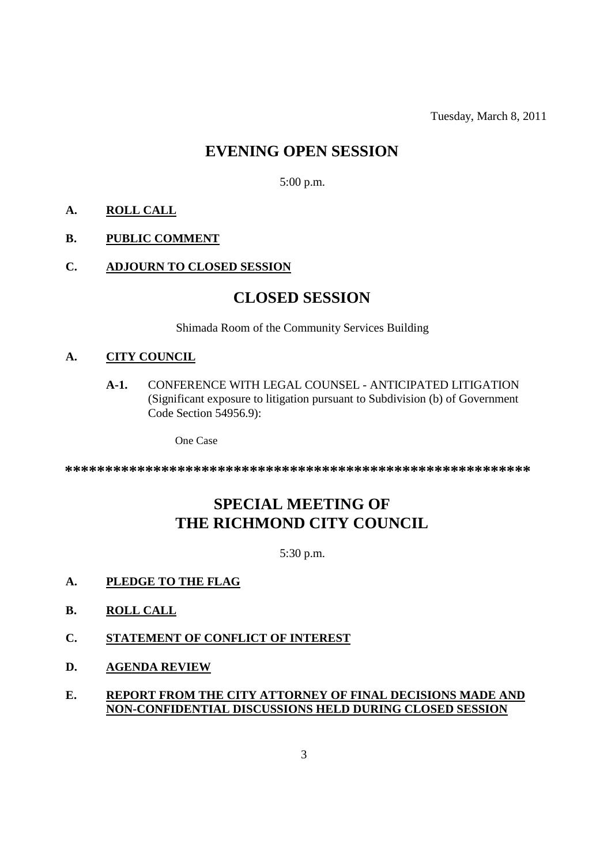Tuesday, March 8, 2011

## **EVENING OPEN SESSION**

5:00 p.m.

## **A. ROLL CALL**

### **B. PUBLIC COMMENT**

## **C. ADJOURN TO CLOSED SESSION**

## **CLOSED SESSION**

Shimada Room of the Community Services Building

## **A. CITY COUNCIL**

**A-1.** CONFERENCE WITH LEGAL COUNSEL - ANTICIPATED LITIGATION (Significant exposure to litigation pursuant to Subdivision (b) of Government Code Section 54956.9):

One Case

**\*\*\*\*\*\*\*\*\*\*\*\*\*\*\*\*\*\*\*\*\*\*\*\*\*\*\*\*\*\*\*\*\*\*\*\*\*\*\*\*\*\*\*\*\*\*\*\*\*\*\*\*\*\*\*\*\*\***

## **SPECIAL MEETING OF THE RICHMOND CITY COUNCIL**

5:30 p.m.

- **A. PLEDGE TO THE FLAG**
- **B. ROLL CALL**
- **C. STATEMENT OF CONFLICT OF INTEREST**
- **D. AGENDA REVIEW**
- **E. REPORT FROM THE CITY ATTORNEY OF FINAL DECISIONS MADE AND NON-CONFIDENTIAL DISCUSSIONS HELD DURING CLOSED SESSION**